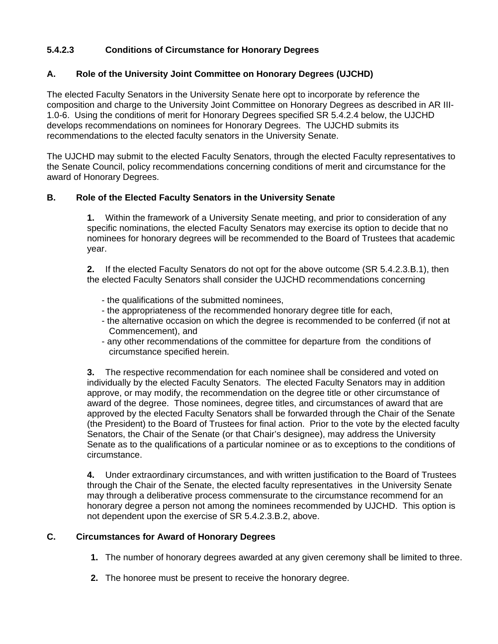# **5.4.2.3 Conditions of Circumstance for Honorary Degrees**

### **A. Role of the University Joint Committee on Honorary Degrees (UJCHD)**

The elected Faculty Senators in the University Senate here opt to incorporate by reference the composition and charge to the University Joint Committee on Honorary Degrees as described in AR III-1.0-6. Using the conditions of merit for Honorary Degrees specified SR 5.4.2.4 below, the UJCHD develops recommendations on nominees for Honorary Degrees. The UJCHD submits its recommendations to the elected faculty senators in the University Senate.

The UJCHD may submit to the elected Faculty Senators, through the elected Faculty representatives to the Senate Council, policy recommendations concerning conditions of merit and circumstance for the award of Honorary Degrees.

### **B. Role of the Elected Faculty Senators in the University Senate**

 **1.** Within the framework of a University Senate meeting, and prior to consideration of any specific nominations, the elected Faculty Senators may exercise its option to decide that no nominees for honorary degrees will be recommended to the Board of Trustees that academic year.

 **2.** If the elected Faculty Senators do not opt for the above outcome (SR 5.4.2.3.B.1), then the elected Faculty Senators shall consider the UJCHD recommendations concerning

- the qualifications of the submitted nominees,
- the appropriateness of the recommended honorary degree title for each,
- the alternative occasion on which the degree is recommended to be conferred (if not at Commencement), and
- any other recommendations of the committee for departure from the conditions of circumstance specified herein.

 **3.** The respective recommendation for each nominee shall be considered and voted on individually by the elected Faculty Senators. The elected Faculty Senators may in addition approve, or may modify, the recommendation on the degree title or other circumstance of award of the degree. Those nominees, degree titles, and circumstances of award that are approved by the elected Faculty Senators shall be forwarded through the Chair of the Senate (the President) to the Board of Trustees for final action. Prior to the vote by the elected faculty Senators, the Chair of the Senate (or that Chair's designee), may address the University Senate as to the qualifications of a particular nominee or as to exceptions to the conditions of circumstance.

 **4.** Under extraordinary circumstances, and with written justification to the Board of Trustees through the Chair of the Senate, the elected faculty representatives in the University Senate may through a deliberative process commensurate to the circumstance recommend for an honorary degree a person not among the nominees recommended by UJCHD. This option is not dependent upon the exercise of SR 5.4.2.3.B.2, above.

## **C. Circumstances for Award of Honorary Degrees**

- **1.** The number of honorary degrees awarded at any given ceremony shall be limited to three.
- **2.** The honoree must be present to receive the honorary degree.